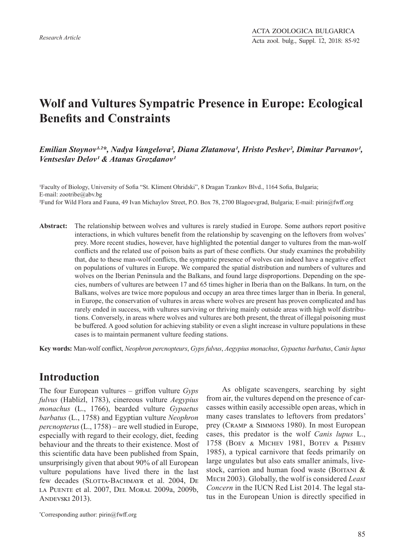# **Wolf and Vultures Sympatric Presence in Europe: Ecological Benefits and Constraints**

### Emilian Stoynov<sup>1,2\*</sup>, Nadya Vangelova<sup>2</sup>, Diana Zlatanova<sup>1</sup>, Hristo Peshev<sup>2</sup>, Dimitar Parvanov<sup>1</sup>, *Ventseslav Delov<sup>1</sup> & Atanas Grozdanov<sup>1</sup>*

<sup>1</sup>Faculty of Biology, University of Sofia "St. Kliment Ohridski", 8 Dragan Tzankov Blvd., 1164 Sofia, Bulgaria; E-mail: zootribe@abv.bg ²Fund for Wild Flora and Fauna, 49 Ivan Michaylov Street, P.O. Box 78, 2700 Blagoevgrad, Bulgaria; E-mail: pirin@fwff.org

**Abstract:** The relationship between wolves and vultures is rarely studied in Europe. Some authors report positive interactions, in which vultures benefit from the relationship by scavenging on the leftovers from wolves' prey. More recent studies, however, have highlighted the potential danger to vultures from the man-wolf conflicts and the related use of poison baits as part of these conflicts. Our study examines the probability that, due to these man-wolf conflicts, the sympatric presence of wolves can indeed have a negative effect on populations of vultures in Europe. We compared the spatial distribution and numbers of vultures and wolves on the Iberian Peninsula and the Balkans, and found large disproportions. Depending on the species, numbers of vultures are between 17 and 65 times higher in Iberia than on the Balkans. In turn, on the Balkans, wolves are twice more populous and occupy an area three times larger than in Iberia. In general, in Europe, the conservation of vultures in areas where wolves are present has proven complicated and has rarely ended in success, with vultures surviving or thriving mainly outside areas with high wolf distributions. Conversely, in areas where wolves and vultures are both present, the threat of illegal poisoning must be buffered. A good solution for achieving stability or even a slight increase in vulture populations in these cases is to maintain permanent vulture feeding stations.

**Key words:** Man-wolf conflict, *Neophron percnopteurs*, *Gyps fulvus*, *Aegypius monachus*, *Gypaetus barbatus*, *Canis lupus*

### **Introduction**

The four European vultures – griffon vulture *Gyps fulvus* (Hablizl, 1783), cinereous vulture *Aegypius monachus* (L., 1766), bearded vulture *Gypaetus barbatus* (L., 1758) and Egyptian vulture *Neophron percnopterus* (L., 1758) – are well studied in Europe, especially with regard to their ecology, diet, feeding behaviour and the threats to their existence. Most of this scientific data have been published from Spain, unsurprisingly given that about 90% of all European vulture populations have lived there in the last few decades (SLOTTA-BACHMAYR et al. 2004, DE la Puente et al. 2007, Del Moral 2009a, 2009b, Andevski 2013).

\* Corresponding author: pirin@fwff.org

As obligate scavengers, searching by sight from air, the vultures depend on the presence of carcasses within easily accessible open areas, which in many cases translates to leftovers from predators' prey (Cramp & Simmons 1980). In most European cases, this predator is the wolf *Canis lupus* L., 1758 (Boev & Michev 1981, Botev & Peshev 1985), a typical carnivore that feeds primarily on large ungulates but also eats smaller animals, livestock, carrion and human food waste (BOITANI  $&$ Mech 2003). Globally, the wolf is considered *Least Concern* in the IUCN Red List 2014. The legal status in the European Union is directly specified in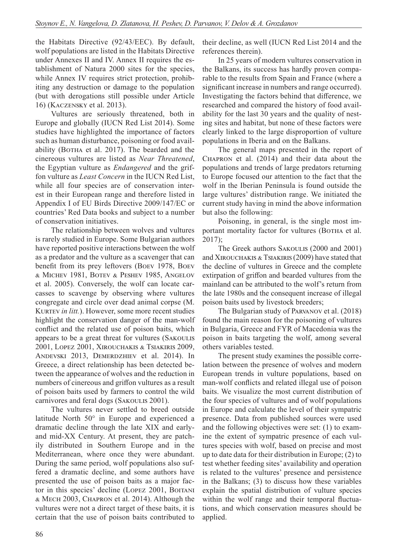the Habitats Directive (92/43/EEC). By default, wolf populations are listed in the Habitats Directive under Annexes II and IV. Annex II requires the establishment of Natura 2000 sites for the species, while Annex IV requires strict protection, prohibiting any destruction or damage to the population (but with derogations still possible under Article 16) (Kaczensky et al. 2013).

Vultures are seriously threatened, both in Europe and globally (IUCN Red List 2014). Some studies have highlighted the importance of factors such as human disturbance, poisoning or food availability (BOTHA et al. 2017). The bearded and the cinereous vultures are listed as *Near Threatened*, the Egyptian vulture as *Endangered* and the griffon vulture as *Least Concern* in the IUCN Red List, while all four species are of conservation interest in their European range and therefore listed in Appendix I of EU Birds Directive 2009/147/EC or countries' Red Data books and subject to a number of conservation initiatives.

The relationship between wolves and vultures is rarely studied in Europe. Some Bulgarian authors have reported positive interactions between the wolf as a predator and the vulture as a scavenger that can benefit from its prey leftovers (Boev 1978, Boev & Michev 1981, Botev & Peshev 1985, Angelov et al. 2005). Conversely, the wolf can locate carcasses to scavenge by observing where vultures congregate and circle over dead animal corpse (M. KURTEV *in litt.*). However, some more recent studies highlight the conservation danger of the man-wolf conflict and the related use of poison baits, which appears to be a great threat for vultures (Sakoulis 2001, Lopez 2001, Xirouchakis & Tsiakiris 2009, Andevski 2013, Demerdzhiev et al. 2014). In Greece, a direct relationship has been detected between the appearance of wolves and the reduction in numbers of cinereous and griffon vultures as a result of poison baits used by farmers to control the wild carnivores and feral dogs (SAKOULIS 2001).

The vultures never settled to breed outside latitude North 50° in Europe and experienced a dramatic decline through the late XIX and earlyand mid-XX Century. At present, they are patchily distributed in Southern Europe and in the Mediterranean, where once they were abundant. During the same period, wolf populations also suffered a dramatic decline, and some authors have presented the use of poison baits as a major factor in this species' decline (LOPEZ 2001, BOITANI & Mech 2003, Chapron et al. 2014). Although the vultures were not a direct target of these baits, it is certain that the use of poison baits contributed to their decline, as well (IUCN Red List 2014 and the references therein).

In 25 years of modern vultures conservation in the Balkans, its success has hardly proven comparable to the results from Spain and France (where a significant increase in numbers and range occurred). Investigating the factors behind that difference, we researched and compared the history of food availability for the last 30 years and the quality of nesting sites and habitat, but none of these factors were clearly linked to the large disproportion of vulture populations in Iberia and on the Balkans.

The general maps presented in the report of Chapron et al. (2014) and their data about the populations and trends of large predators returning to Europe focused our attention to the fact that the wolf in the Iberian Peninsula is found outside the large vultures' distribution range. We initiated the current study having in mind the above information but also the following:

Poisoning, in general, is the single most important mortality factor for vultures (BOTHA et al. 2017);

The Greek authors SAKOULIS (2000 and 2001) and Xirouchakis & Tsiakiris (2009) have stated that the decline of vultures in Greece and the complete extirpation of griffon and bearded vultures from the mainland can be attributed to the wolf's return from the late 1980s and the consequent increase of illegal poison baits used by livestock breeders;

The Bulgarian study of Parvanov et al. (2018) found the main reason for the poisoning of vultures in Bulgaria, Greece and FYR of Macedonia was the poison in baits targeting the wolf, among several others variables tested.

The present study examines the possible correlation between the presence of wolves and modern European trends in vulture populations, based on man-wolf conflicts and related illegal use of poison baits. We visualize the most current distribution of the four species of vultures and of wolf populations in Europe and calculate the level of their sympatric presence. Data from published sources were used and the following objectives were set: (1) to examine the extent of sympatric presence of each vultures species with wolf, based on precise and most up to date data for their distribution in Europe; (2) to test whether feeding sites' availability and operation is related to the vultures' presence and persistence in the Balkans; (3) to discuss how these variables explain the spatial distribution of vulture species within the wolf range and their temporal fluctuations, and which conservation measures should be applied.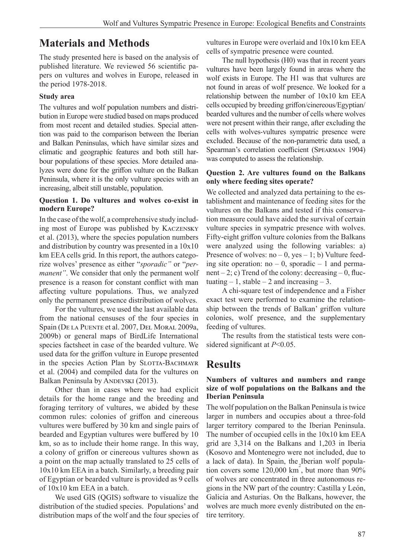# **Materials and Methods**

The study presented here is based on the analysis of published literature. We reviewed 56 scientific papers on vultures and wolves in Europe, released in the period 1978-2018.

### **Study area**

The vultures and wolf population numbers and distribution in Europe were studied based on maps produced from most recent and detailed studies. Special attention was paid to the comparison between the Iberian and Balkan Peninsulas, which have similar sizes and climatic and geographic features and both still harbour populations of these species. More detailed analyzes were done for the griffon vulture on the Balkan Peninsula, where it is the only vulture species with an increasing, albeit still unstable, population.

### **Question 1. Do vultures and wolves co-exist in modern Europe?**

In the case of the wolf, a comprehensive study including most of Europe was published by Kaczensky et al. (2013), where the species population numbers and distribution by country was presented in a 10x10 km EEA cells grid. In this report, the authors categorize wolves' presence as either "*sporadic"* or "*permanent"*. We consider that only the permanent wolf presence is a reason for constant conflict with man affecting vulture populations. Thus, we analyzed only the permanent presence distribution of wolves.

For the vultures, we used the last available data from the national censuses of the four species in Spain (De la Puente et al. 2007, Del Moral 2009a, 2009b) or general maps of BirdLife International species factsheet in case of the bearded vulture. We used data for the griffon vulture in Europe presented in the species Action Plan by SLOTTA-BACHMAYR et al. (2004) and compiled data for the vultures on Balkan Peninsula by ANDEVSKI (2013).

Other than in cases where we had explicit details for the home range and the breeding and foraging territory of vultures, we abided by these common rules: colonies of griffon and cinereous vultures were buffered by 30 km and single pairs of bearded and Egyptian vultures were buffered by 10 km, so as to include their home range. In this way, a colony of griffon or cinereous vultures shown as a point on the map actually translated to 25 cells of 10x10 km EEA in a batch. Similarly, a breeding pair of Egyptian or bearded vulture is provided as 9 cells of 10x10 km EEA in a batch.

We used GIS (QGIS) software to visualize the distribution of the studied species. Populations' and distribution maps of the wolf and the four species of vultures in Europe were overlaid and 10x10 km EEA cells of sympatric presence were counted.

The null hypothesis (H0) was that in recent years vultures have been largely found in areas where the wolf exists in Europe. The H1 was that vultures are not found in areas of wolf presence. We looked for a relationship between the number of 10x10 km EEA cells occupied by breeding griffon/cinereous/Egyptian/ bearded vultures and the number of cells where wolves were not present within their range, after excluding the cells with wolves-vultures sympatric presence were excluded. Because of the non-parametric data used, a Spearman's correlation coefficient (Spearman 1904) was computed to assess the relationship.

#### **Question 2. Are vultures found on the Balkans only where feeding sites operate?**

We collected and analyzed data pertaining to the establishment and maintenance of feeding sites for the vultures on the Balkans and tested if this conservation measure could have aided the survival of certain vulture species in sympatric presence with wolves. Fifty-eight griffon vulture colonies from the Balkans were analyzed using the following variables: a) Presence of wolves:  $no - 0$ ,  $yes - 1$ ; b) Vulture feeding site operation:  $no - 0$ , sporadic  $- 1$  and permanent – 2; c) Trend of the colony: decreasing – 0, fluctuating  $-1$ , stable  $-2$  and increasing  $-3$ .

A chi-square test of independence and a Fisher exact test were performed to examine the relationship between the trends of Balkan' griffon vulture colonies, wolf presence, and the supplementary feeding of vultures.

The results from the statistical tests were considered significant at *P*<0.05.

### **Results**

### **Numbers of vultures and numbers and range size of wolf populations on the Balkans and the Iberian Peninsula**

The wolf population on the Balkan Peninsula is twice larger in numbers and occupies about a three-fold larger territory compared to the Iberian Peninsula. The number of occupied cells in the 10x10 km EEA grid are 3,314 on the Balkans and 1,203 in Iberia (Kosovo and Montenegro were not included, due to a lack of data). In Spain, the Iberian wolf population covers some  $120,000 \text{ km}^2$ , but more than 90% of wolves are concentrated in three autonomous regions in the NW part of the country: Castilla y León, Galicia and Asturias. On the Balkans, however, the wolves are much more evenly distributed on the entire territory.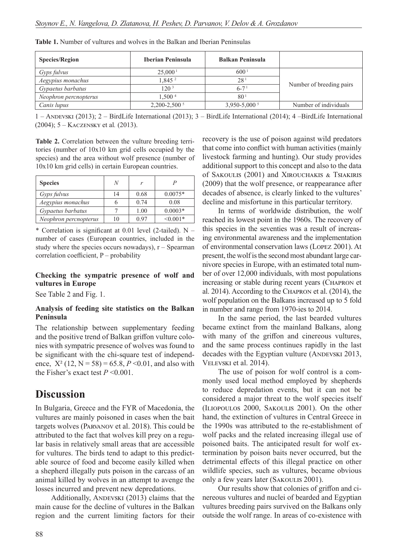| <b>Species/Region</b> | <b>Iberian Peninsula</b> | <b>Balkan Peninsula</b>      |                          |  |
|-----------------------|--------------------------|------------------------------|--------------------------|--|
| <i>Gyps fulvus</i>    | 25,000 <sup>1</sup>      | 600 <sup>1</sup>             |                          |  |
| Aegypius monachus     | 1,845 <sup>2</sup>       | 28 <sup>1</sup>              |                          |  |
| Gypaetus barbatus     | 120 <sup>3</sup>         | $6 - 7$ <sup>1</sup>         | Number of breeding pairs |  |
| Neophron percnopterus | 1.500 <sup>4</sup>       | 80 <sup>1</sup>              |                          |  |
| Canis lupus           | $2,200 - 2,500^5$        | $3,950 - 5,000$ <sup>5</sup> | Number of individuals    |  |

**Table 1.** Number of vultures and wolves in the Balkan and Iberian Peninsulas

1 – Andevski (2013); 2 – BirdLife International (2013); 3 – BirdLife International (2014); 4 –BirdLife International (2004); 5 – Kaczensky et al*.* (2013).

**Table 2.** Correlation between the vulture breeding territories (number of 10x10 km grid cells occupied by the species) and the area without wolf presence (number of 10x10 km grid cells) in certain European countries.

| <b>Species</b>        | N  | r    | P             |
|-----------------------|----|------|---------------|
| Gyps fulvus           | 14 | 0.68 | $0.0075*$     |
| Aegypius monachus     | n  | 0.74 | 0.08          |
| Gypaetus barbatus     |    | 1.00 | $0.0003*$     |
| Neophron percnopterus | 10 | 0.97 | $\leq 0.001*$ |

\* Correlation is significant at  $0.01$  level (2-tailed). N – number of cases (European countries, included in the study where the species occurs nowadays),  $r - S$  pearman correlation coefficient, P – probability

#### **Checking the sympatric presence of wolf and vultures in Europe**

See Table 2 and Fig. 1.

#### **Analysis of feeding site statistics on the Balkan Peninsula**

The relationship between supplementary feeding and the positive trend of Balkan griffon vulture colonies with sympatric presence of wolves was found to be significant with the chi-square test of independence,  $X^2$  (12, N = 58) = 65.8, *P* < 0.01, and also with the Fisher's exact test  $P \le 0.001$ .

### **Discussion**

In Bulgaria, Greece and the FYR of Macedonia, the vultures are mainly poisoned in cases when the bait targets wolves (Parvanov et al. 2018). This could be attributed to the fact that wolves kill prey on a regular basis in relatively small areas that are accessible for vultures. The birds tend to adapt to this predictable source of food and become easily killed when a shepherd illegally puts poison in the carcass of an animal killed by wolves in an attempt to avenge the losses incurred and prevent new depredations.

Additionally, ANDEVSKI (2013) claims that the main cause for the decline of vultures in the Balkan region and the current limiting factors for their recovery is the use of poison against wild predators that come into conflict with human activities (mainly livestock farming and hunting). Our study provides additional support to this concept and also to the data of Sakoulis (2001) and Xirouchakis & Tsiakiris (2009) that the wolf presence, or reappearance after decades of absence, is clearly linked to the vultures' decline and misfortune in this particular territory.

In terms of worldwide distribution, the wolf reached its lowest point in the 1960s. The recovery of this species in the seventies was a result of increasing environmental awareness and the implementation of environmental conservation laws (Lopez 2001). At present, the wolf is the second most abundant large carnivore species in Europe, with an estimated total number of over 12,000 individuals, with most populations increasing or stable during recent years (CHAPRON et al. 2014). According to the Chapron et al. (2014), the wolf population on the Balkans increased up to 5 fold in number and range from 1970-ies to 2014.

In the same period, the last bearded vultures became extinct from the mainland Balkans, along with many of the griffon and cinereous vultures, and the same process continues rapidly in the last decades with the Egyptian vulture (ANDEVSKI 2013, Velevski et al. 2014).

The use of poison for wolf control is a commonly used local method employed by shepherds to reduce depredation events, but it can not be considered a major threat to the wolf species itself (Iliopoulos 2000, Sakoulis 2001). On the other hand, the extinction of vultures in Central Greece in the 1990s was attributed to the re-establishment of wolf packs and the related increasing illegal use of poisoned baits. The anticipated result for wolf extermination by poison baits never occurred, but the detrimental effects of this illegal practice on other wildlife species, such as vultures, became obvious only a few years later (SAKOULIS 2001).

Our results show that colonies of griffon and cinereous vultures and nuclei of bearded and Egyptian vultures breeding pairs survived on the Balkans only outside the wolf range. In areas of co-existence with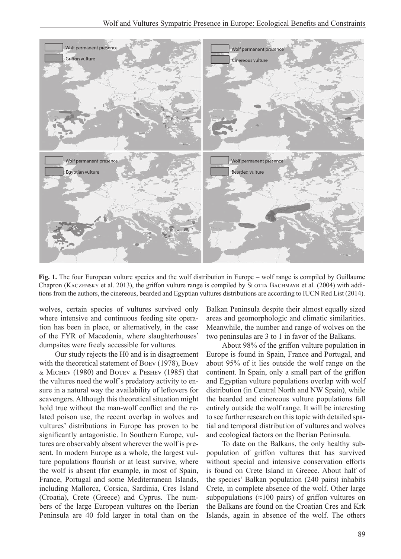

**Fig. 1.** The four European vulture species and the wolf distribution in Europe – wolf range is compiled by Guillaume Chapron (KACZENSKY et al. 2013), the griffon vulture range is compiled by SLOTTA BACHMAYR et al. (2004) with additions from the authors, the cinereous, bearded and Egyptian vultures distributions are according to IUCN Red List (2014).

wolves, certain species of vultures survived only where intensive and continuous feeding site operation has been in place, or alternatively, in the case of the FYR of Macedonia, where slaughterhouses' dumpsites were freely accessible for vultures.

Our study rejects the H0 and is in disagreement with the theoretical statement of Boev (1978), Boev & Michev (1980) and Botev & Peshev (1985) that the vultures need the wolf's predatory activity to ensure in a natural way the availability of leftovers for scavengers. Although this theoretical situation might hold true without the man-wolf conflict and the related poison use, the recent overlap in wolves and vultures' distributions in Europe has proven to be significantly antagonistic. In Southern Europe, vultures are observably absent wherever the wolf is present. In modern Europe as a whole, the largest vulture populations flourish or at least survive, where the wolf is absent (for example, in most of Spain, France, Portugal and some Mediterranean Islands, including Mallorca, Corsica, Sardinia, Cres Island (Croatia), Crete (Greece) and Cyprus. The numbers of the large European vultures on the Iberian Peninsula are 40 fold larger in total than on the Balkan Peninsula despite their almost equally sized areas and geomorphologic and climatic similarities. Meanwhile, the number and range of wolves on the two peninsulas are 3 to 1 in favor of the Balkans.

About 98% of the griffon vulture population in Europe is found in Spain, France and Portugal, and about 95% of it lies outside the wolf range on the continent. In Spain, only a small part of the griffon and Egyptian vulture populations overlap with wolf distribution (in Central North and NW Spain), while the bearded and cinereous vulture populations fall entirely outside the wolf range. It will be interesting to see further research on this topic with detailed spatial and temporal distribution of vultures and wolves and ecological factors on the Iberian Peninsula.

To date on the Balkans, the only healthy subpopulation of griffon vultures that has survived without special and intensive conservation efforts is found on Crete Island in Greece. About half of the species' Balkan population (240 pairs) inhabits Crete, in complete absence of the wolf. Other large subpopulations ( $\approx$ 100 pairs) of griffon vultures on the Balkans are found on the Croatian Cres and Krk Islands, again in absence of the wolf. The others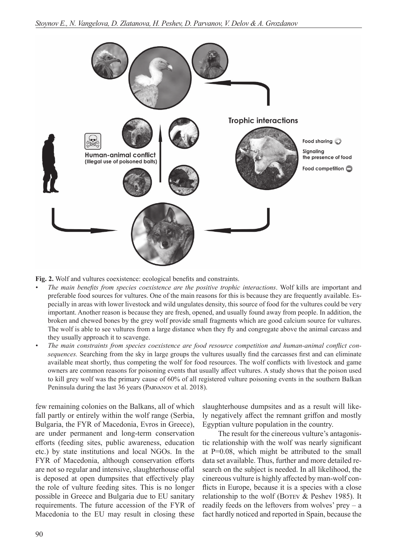

**Fig. 2.** Wolf and vultures coexistence: ecological benefits and constraints.

- *• The main benefits from species coexistence are the positive trophic interactions*. Wolf kills are important and preferable food sources for vultures. One of the main reasons for this is because they are frequently available. Especially in areas with lower livestock and wild ungulates density, this source of food for the vultures could be very important. Another reason is because they are fresh, opened, and usually found away from people. In addition, the broken and chewed bones by the grey wolf provide small fragments which are good calcium source for vultures. The wolf is able to see vultures from a large distance when they fly and congregate above the animal carcass and they usually approach it to scavenge.
- *• The main constraints from species coexistence are food resource competition and human-animal conflict consequences.* Searching from the sky in large groups the vultures usually find the carcasses first and can eliminate available meat shortly, thus competing the wolf for food resources. The wolf conflicts with livestock and game owners are common reasons for poisoning events that usually affect vultures. A study shows that the poison used to kill grey wolf was the primary cause of 60% of all registered vulture poisoning events in the southern Balkan Peninsula during the last 36 years (Parvanov et al. 2018).

few remaining colonies on the Balkans, all of which fall partly or entirely within the wolf range (Serbia, Bulgaria, the FYR of Macedonia, Evros in Greece), are under permanent and long-term conservation efforts (feeding sites, public awareness, education etc.) by state institutions and local NGOs. In the FYR of Macedonia, although conservation efforts are not so regular and intensive, slaughterhouse offal is deposed at open dumpsites that effectively play the role of vulture feeding sites. This is no longer possible in Greece and Bulgaria due to EU sanitary requirements. The future accession of the FYR of Macedonia to the EU may result in closing these

slaughterhouse dumpsites and as a result will likely negatively affect the remnant griffon and mostly Egyptian vulture population in the country.

The result for the cinereous vulture's antagonistic relationship with the wolf was nearly significant at P=0.08, which might be attributed to the small data set available. Thus, further and more detailed research on the subject is needed. In all likelihood, the cinereous vulture is highly affected by man-wolf conflicts in Europe, because it is a species with a close relationship to the wolf (BOTEV  $&$  Peshev 1985). It readily feeds on the leftovers from wolves' prey  $-$  a fact hardly noticed and reported in Spain, because the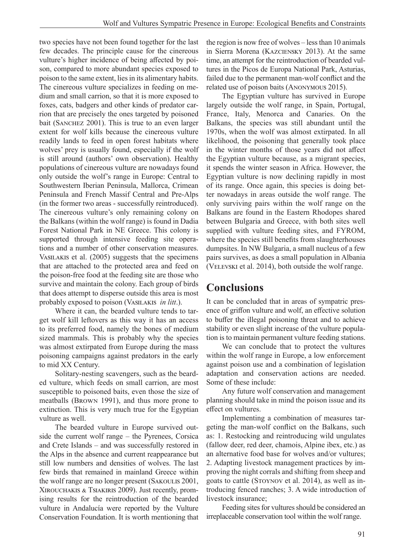two species have not been found together for the last few decades. The principle cause for the cinereous vulture's higher incidence of being affected by poison, compared to more abundant species exposed to poison to the same extent, lies in its alimentary habits. The cinereous vulture specializes in feeding on medium and small carrion, so that it is more exposed to foxes, cats, badgers and other kinds of predator carrion that are precisely the ones targeted by poisoned bait (Sanchez 2001). This is true to an even larger extent for wolf kills because the cinereous vulture readily lands to feed in open forest habitats where wolves' prey is usually found, especially if the wolf is still around (authors' own observation). Healthy populations of cinereous vulture are nowadays found only outside the wolf's range in Europe: Central to Southwestern Iberian Peninsula, Mallorca, Crimean Peninsula and French Massif Central and Pre-Alps (in the former two areas - successfully reintroduced). The cinereous vulture's only remaining colony on the Balkans (within the wolf range) is found in Dadia Forest National Park in NE Greece. This colony is supported through intensive feeding site operations and a number of other conservation measures. VASILAKIS et al. (2005) suggests that the specimens that are attached to the protected area and feed on the poison-free food at the feeding site are those who survive and maintain the colony. Each group of birds that does attempt to disperse outside this area is most probably exposed to poison (Vasilakis *in litt*.).

Where it can, the bearded vulture tends to target wolf kill leftovers as this way it has an access to its preferred food, namely the bones of medium sized mammals. This is probably why the species was almost extirpated from Europe during the mass poisoning campaigns against predators in the early to mid XX Century.

Solitary-nesting scavengers, such as the bearded vulture, which feeds on small carrion, are most susceptible to poisoned baits, even those the size of meatballs (Brown 1991), and thus more prone to extinction. This is very much true for the Egyptian vulture as well.

The bearded vulture in Europe survived outside the current wolf range – the Pyrenees, Corsica and Crete Islands – and was successfully restored in the Alps in the absence and current reappearance but still low numbers and densities of wolves. The last few birds that remained in mainland Greece within the wolf range are no longer present (SAKOULIS 2001, Xirouchakis & Tsiakiris 2009). Just recently, promising results for the reintroduction of the bearded vulture in Andalucía were reported by the Vulture Conservation Foundation. It is worth mentioning that the region is now free of wolves – less than 10 animals in Sierra Morena (Kazciensky 2013). At the same time, an attempt for the reintroduction of bearded vultures in the Picos de Europa National Park, Asturias, failed due to the permanent man-wolf conflict and the related use of poison baits (Anonymous 2015).

The Egyptian vulture has survived in Europe largely outside the wolf range, in Spain, Portugal, France, Italy, Menorca and Canaries. On the Balkans, the species was still abundant until the 1970s, when the wolf was almost extirpated. In all likelihood, the poisoning that generally took place in the winter months of those years did not affect the Egyptian vulture because, as a migrant species, it spends the winter season in Africa. However, the Egyptian vulture is now declining rapidly in most of its range. Once again, this species is doing better nowadays in areas outside the wolf range. The only surviving pairs within the wolf range on the Balkans are found in the Eastern Rhodopes shared between Bulgaria and Greece, with both sites well supplied with vulture feeding sites, and FYROM, where the species still benefits from slaughterhouses dumpsites. In NW Bulgaria, a small nucleus of a few pairs survives, as does a small population in Albania (VELEVSKI et al. 2014), both outside the wolf range.

## **Conclusions**

It can be concluded that in areas of sympatric presence of griffon vulture and wolf, an effective solution to buffer the illegal poisoning threat and to achieve stability or even slight increase of the vulture population is to maintain permanent vulture feeding stations.

We can conclude that to protect the vultures within the wolf range in Europe, a low enforcement against poison use and a combination of legislation adaptation and conservation actions are needed. Some of these include:

Any future wolf conservation and management planning should take in mind the poison issue and its effect on vultures.

Implementing a combination of measures targeting the man-wolf conflict on the Balkans, such as: 1. Restocking and reintroducing wild ungulates (fallow deer, red deer, chamois, Alpine ibex, etc.) as an alternative food base for wolves and/or vultures; 2. Adapting livestock management practices by improving the night corrals and shifting from sheep and goats to cattle (Stoynov et al. 2014), as well as introducing fenced ranches; 3. A wide introduction of livestock insurance;

Feeding sites for vultures should be considered an irreplaceable conservation tool within the wolf range.